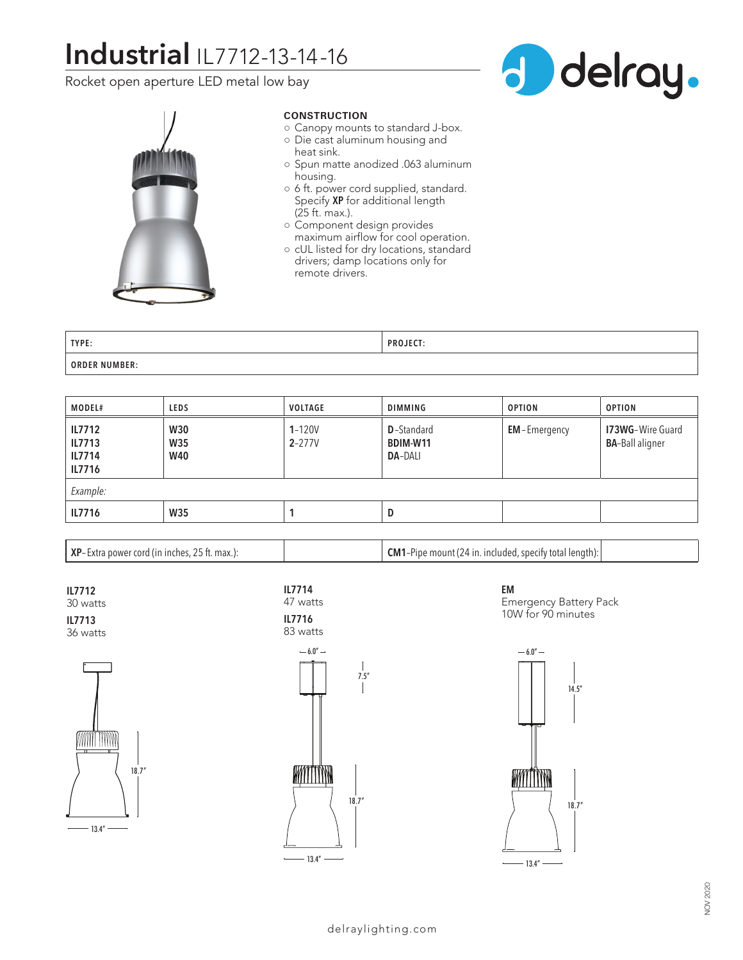# **Industrial** IL7712-13-14-16

Rocket open aperture LED metal low bay





## **CONSTRUCTION**

- Canopy mounts to standard J-box.
- Die cast aluminum housing and heat sink.
- Spun matte anodized .063 aluminum housing.
- 6 ft. power cord supplied, standard. Specify **XP** for additional length (25 ft. max.).
- Component design provides maximum airflow for cool operation.
- cUL listed for dry locations, standard drivers; damp locations only for remote drivers.

| TYPE:                | <b>DDAILCT</b> |
|----------------------|----------------|
| <b>ORDER NUMBER:</b> |                |

| <b>MODEL#</b>                                      | <b>LEDS</b>                            | <b>VOLTAGE</b>           | <b>DIMMING</b>                                   | <b>OPTION</b>       | <b>OPTION</b>                                     |  |  |
|----------------------------------------------------|----------------------------------------|--------------------------|--------------------------------------------------|---------------------|---------------------------------------------------|--|--|
| <b>IL7712</b><br>IL7713<br><b>IL7714</b><br>IL7716 | <b>W30</b><br><b>W35</b><br><b>W40</b> | $1 - 120V$<br>$2 - 277V$ | <b>D</b> -Standard<br>BDIM-W11<br><b>DA-DALI</b> | <b>EM-Emergency</b> | <b>I73WG-Wire Guard</b><br><b>BA-Ball aligner</b> |  |  |
| Example:                                           |                                        |                          |                                                  |                     |                                                   |  |  |
| IL7716                                             | <b>W35</b>                             |                          | D                                                |                     |                                                   |  |  |

**XP**– Extra power cord (in inches, 25 ft. max.): **CM1**–Pipe mount (24 in. included, specify total length):

**IL7712** 30 watts **IL7713**

36 watts







**EM** Emergency Battery Pack 10W for 90 minutes